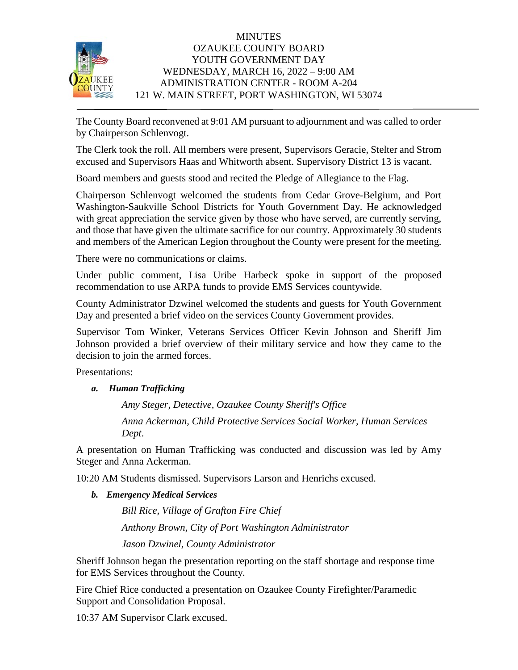

## **MINUTES** OZAUKEE COUNTY BOARD YOUTH GOVERNMENT DAY WEDNESDAY, MARCH 16, 2022 – 9:00 AM ADMINISTRATION CENTER - ROOM A-204 121 W. MAIN STREET, PORT WASHINGTON, WI 53074

The County Board reconvened at 9:01 AM pursuant to adjournment and was called to order by Chairperson Schlenvogt.

The Clerk took the roll. All members were present, Supervisors Geracie, Stelter and Strom excused and Supervisors Haas and Whitworth absent. Supervisory District 13 is vacant.

Board members and guests stood and recited the Pledge of Allegiance to the Flag.

Chairperson Schlenvogt welcomed the students from Cedar Grove-Belgium, and Port Washington-Saukville School Districts for Youth Government Day. He acknowledged with great appreciation the service given by those who have served, are currently serving, and those that have given the ultimate sacrifice for our country. Approximately 30 students and members of the American Legion throughout the County were present for the meeting.

There were no communications or claims.

Under public comment, Lisa Uribe Harbeck spoke in support of the proposed recommendation to use ARPA funds to provide EMS Services countywide.

County Administrator Dzwinel welcomed the students and guests for Youth Government Day and presented a brief video on the services County Government provides.

Supervisor Tom Winker, Veterans Services Officer Kevin Johnson and Sheriff Jim Johnson provided a brief overview of their military service and how they came to the decision to join the armed forces.

Presentations:

*a. Human Trafficking*

*Amy Steger, Detective, Ozaukee County Sheriff's Office Anna Ackerman, Child Protective Services Social Worker, Human Services Dept*.

A presentation on Human Trafficking was conducted and discussion was led by Amy Steger and Anna Ackerman.

10:20 AM Students dismissed. Supervisors Larson and Henrichs excused.

*b. Emergency Medical Services*

*Bill Rice, Village of Grafton Fire Chief Anthony Brown, City of Port Washington Administrator Jason Dzwinel, County Administrator*

Sheriff Johnson began the presentation reporting on the staff shortage and response time for EMS Services throughout the County.

Fire Chief Rice conducted a presentation on Ozaukee County Firefighter/Paramedic Support and Consolidation Proposal.

10:37 AM Supervisor Clark excused.